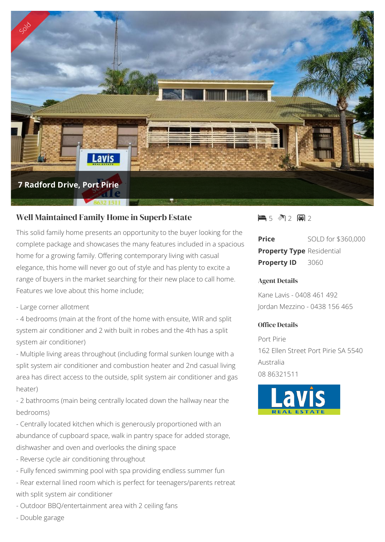

# Well Maintained Family Home in Superb Estate

This solid family home presents an opportunity to the buyer looking for the complete package and showcases the many features included in a spacious home for a growing family. Offering contemporary living with casual elegance, this home will never go out of style and has plenty to excite a range of buyers in the market searching for their new place to call home. Features we love about this home include;

- Large corner allotment

- 4 bedrooms (main at the front of the home with ensuite, WIR and split system air conditioner and 2 with built in robes and the 4th has a split system air conditioner)

- Multiple living areas throughout (including formal sunken lounge with a split system air conditioner and combustion heater and 2nd casual living area has direct access to the outside, split system air conditioner and gas heater)

- 2 bathrooms (main being centrally located down the hallway near the bedrooms)

- Centrally located kitchen which is generously proportioned with an abundance of cupboard space, walk in pantry space for added storage, dishwasher and oven and overlooks the dining space
- Reverse cycle air conditioning throughout
- Fully fenced swimming pool with spa providing endless summer fun
- Rear external lined room which is perfect for teenagers/parents retreat with split system air conditioner
- Outdoor BBQ/entertainment area with 2 ceiling fans
- Double garage

15 2 8 2

**Price** SOLD for \$360,000 **Property Type** Residential **Property ID** 3060

#### Agent Details

Kane Lavis - 0408 461 492 Jordan Mezzino - 0438 156 465

### Office Details

Port Pirie 162 Ellen Street Port Pirie SA 5540 Australia 08 86321511

![](_page_0_Picture_19.jpeg)